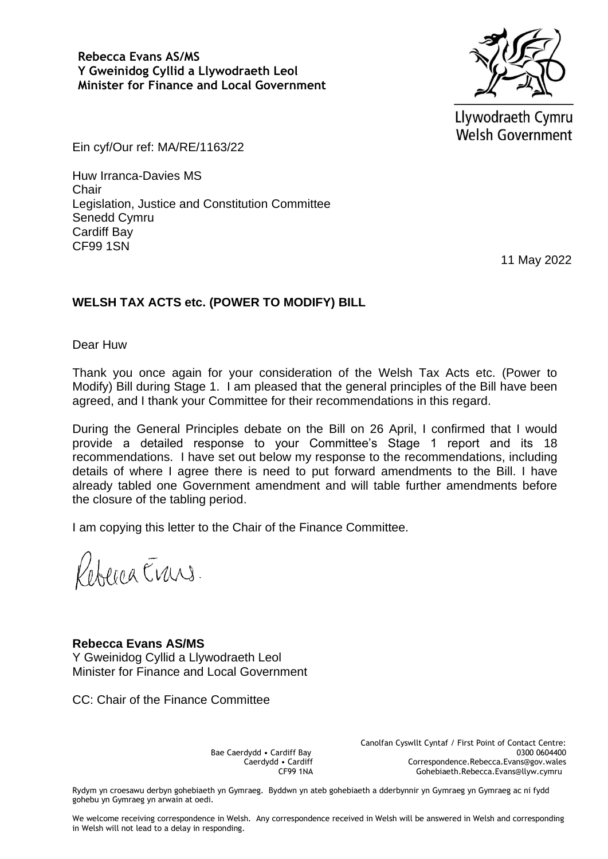**Rebecca Evans AS/MS Y Gweinidog Cyllid a Llywodraeth Leol Minister for Finance and Local Government**



Llywodraeth Cymru **Welsh Government** 

Ein cyf/Our ref: MA/RE/1163/22

Huw Irranca-Davies MS **Chair** Legislation, Justice and Constitution Committee Senedd Cymru Cardiff Bay CF99 1SN

11 May 2022

## **WELSH TAX ACTS etc. (POWER TO MODIFY) BILL**

Dear Huw

Thank you once again for your consideration of the Welsh Tax Acts etc. (Power to Modify) Bill during Stage 1. I am pleased that the general principles of the Bill have been agreed, and I thank your Committee for their recommendations in this regard.

During the General Principles debate on the Bill on 26 April, I confirmed that I would provide a detailed response to your Committee's Stage 1 report and its 18 recommendations. I have set out below my response to the recommendations, including details of where I agree there is need to put forward amendments to the Bill. I have already tabled one Government amendment and will table further amendments before the closure of the tabling period.

I am copying this letter to the Chair of the Finance Committee.

Refered Erans.

**Rebecca Evans AS/MS** Y Gweinidog Cyllid a Llywodraeth Leol Minister for Finance and Local Government

CC: Chair of the Finance Committee

Bae Caerdydd • Cardiff Bay Caerdydd • Cardiff CF99 1NA Canolfan Cyswllt Cyntaf / First Point of Contact Centre: 0300 0604400 Correspondence.Rebecca.Evans@gov.wales Gohebiaeth.Rebecca.Evans@llyw.cymru

Rydym yn croesawu derbyn gohebiaeth yn Gymraeg. Byddwn yn ateb gohebiaeth a dderbynnir yn Gymraeg yn Gymraeg ac ni fydd gohebu yn Gymraeg yn arwain at oedi.

We welcome receiving correspondence in Welsh. Any correspondence received in Welsh will be answered in Welsh and corresponding in Welsh will not lead to a delay in responding.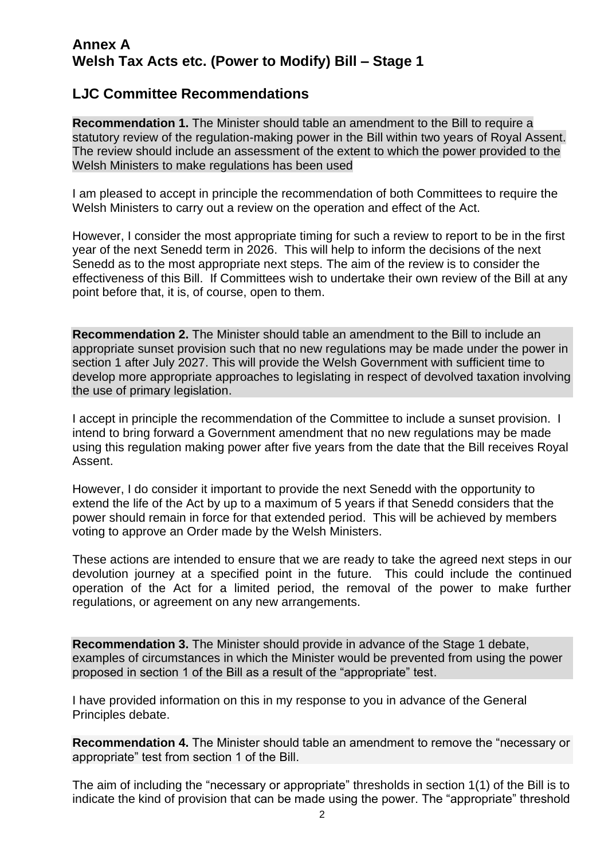## **Annex A Welsh Tax Acts etc. (Power to Modify) Bill – Stage 1**

## **LJC Committee Recommendations**

**Recommendation 1.** The Minister should table an amendment to the Bill to require a statutory review of the regulation-making power in the Bill within two years of Royal Assent. The review should include an assessment of the extent to which the power provided to the Welsh Ministers to make regulations has been used

I am pleased to accept in principle the recommendation of both Committees to require the Welsh Ministers to carry out a review on the operation and effect of the Act.

However, I consider the most appropriate timing for such a review to report to be in the first year of the next Senedd term in 2026. This will help to inform the decisions of the next Senedd as to the most appropriate next steps. The aim of the review is to consider the effectiveness of this Bill. If Committees wish to undertake their own review of the Bill at any point before that, it is, of course, open to them.

**Recommendation 2.** The Minister should table an amendment to the Bill to include an appropriate sunset provision such that no new regulations may be made under the power in section 1 after July 2027. This will provide the Welsh Government with sufficient time to develop more appropriate approaches to legislating in respect of devolved taxation involving the use of primary legislation.

I accept in principle the recommendation of the Committee to include a sunset provision. I intend to bring forward a Government amendment that no new regulations may be made using this regulation making power after five years from the date that the Bill receives Royal Assent.

However, I do consider it important to provide the next Senedd with the opportunity to extend the life of the Act by up to a maximum of 5 years if that Senedd considers that the power should remain in force for that extended period. This will be achieved by members voting to approve an Order made by the Welsh Ministers.

These actions are intended to ensure that we are ready to take the agreed next steps in our devolution journey at a specified point in the future. This could include the continued operation of the Act for a limited period, the removal of the power to make further regulations, or agreement on any new arrangements.

**Recommendation 3.** The Minister should provide in advance of the Stage 1 debate, examples of circumstances in which the Minister would be prevented from using the power proposed in section 1 of the Bill as a result of the "appropriate" test.

I have provided information on this in my response to you in advance of the General Principles debate.

**Recommendation 4.** The Minister should table an amendment to remove the "necessary or appropriate" test from section 1 of the Bill.

The aim of including the "necessary or appropriate" thresholds in section 1(1) of the Bill is to indicate the kind of provision that can be made using the power. The "appropriate" threshold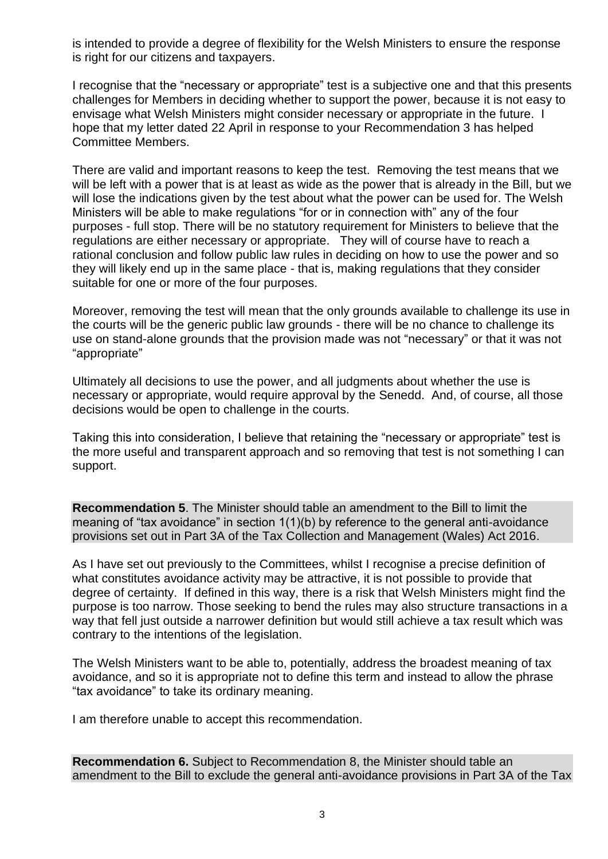is intended to provide a degree of flexibility for the Welsh Ministers to ensure the response is right for our citizens and taxpayers.

I recognise that the "necessary or appropriate" test is a subjective one and that this presents challenges for Members in deciding whether to support the power, because it is not easy to envisage what Welsh Ministers might consider necessary or appropriate in the future. I hope that my letter dated 22 April in response to your Recommendation 3 has helped Committee Members.

There are valid and important reasons to keep the test. Removing the test means that we will be left with a power that is at least as wide as the power that is already in the Bill, but we will lose the indications given by the test about what the power can be used for. The Welsh Ministers will be able to make regulations "for or in connection with" any of the four purposes - full stop. There will be no statutory requirement for Ministers to believe that the regulations are either necessary or appropriate. They will of course have to reach a rational conclusion and follow public law rules in deciding on how to use the power and so they will likely end up in the same place - that is, making regulations that they consider suitable for one or more of the four purposes.

Moreover, removing the test will mean that the only grounds available to challenge its use in the courts will be the generic public law grounds - there will be no chance to challenge its use on stand-alone grounds that the provision made was not "necessary" or that it was not "appropriate"

Ultimately all decisions to use the power, and all judgments about whether the use is necessary or appropriate, would require approval by the Senedd. And, of course, all those decisions would be open to challenge in the courts.

Taking this into consideration, I believe that retaining the "necessary or appropriate" test is the more useful and transparent approach and so removing that test is not something I can support.

**Recommendation 5**. The Minister should table an amendment to the Bill to limit the meaning of "tax avoidance" in section 1(1)(b) by reference to the general anti-avoidance provisions set out in Part 3A of the Tax Collection and Management (Wales) Act 2016.

As I have set out previously to the Committees, whilst I recognise a precise definition of what constitutes avoidance activity may be attractive, it is not possible to provide that degree of certainty. If defined in this way, there is a risk that Welsh Ministers might find the purpose is too narrow. Those seeking to bend the rules may also structure transactions in a way that fell just outside a narrower definition but would still achieve a tax result which was contrary to the intentions of the legislation.

The Welsh Ministers want to be able to, potentially, address the broadest meaning of tax avoidance, and so it is appropriate not to define this term and instead to allow the phrase "tax avoidance" to take its ordinary meaning.

I am therefore unable to accept this recommendation.

**Recommendation 6.** Subject to Recommendation 8, the Minister should table an amendment to the Bill to exclude the general anti-avoidance provisions in Part 3A of the Tax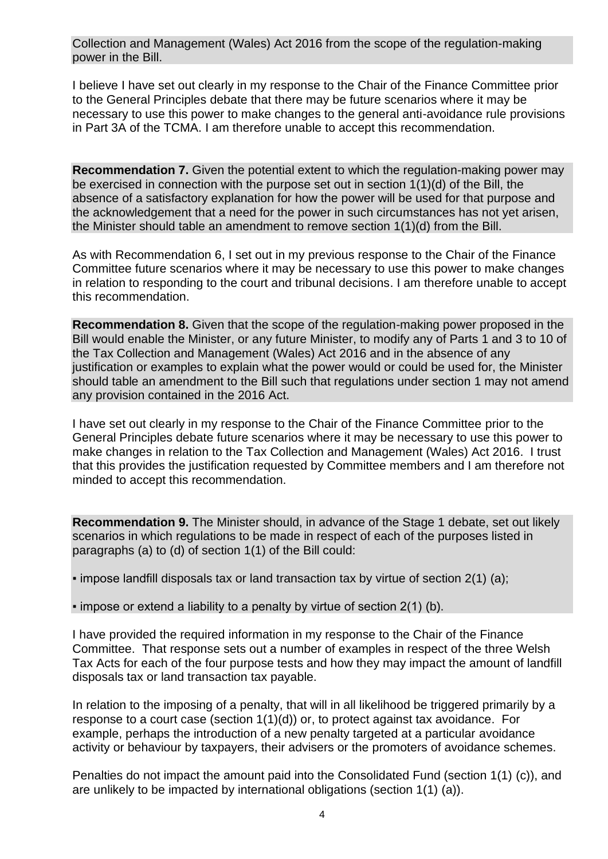Collection and Management (Wales) Act 2016 from the scope of the regulation-making power in the Bill.

I believe I have set out clearly in my response to the Chair of the Finance Committee prior to the General Principles debate that there may be future scenarios where it may be necessary to use this power to make changes to the general anti-avoidance rule provisions in Part 3A of the TCMA. I am therefore unable to accept this recommendation.

**Recommendation 7.** Given the potential extent to which the regulation-making power may be exercised in connection with the purpose set out in section 1(1)(d) of the Bill, the absence of a satisfactory explanation for how the power will be used for that purpose and the acknowledgement that a need for the power in such circumstances has not yet arisen, the Minister should table an amendment to remove section 1(1)(d) from the Bill.

As with Recommendation 6, I set out in my previous response to the Chair of the Finance Committee future scenarios where it may be necessary to use this power to make changes in relation to responding to the court and tribunal decisions. I am therefore unable to accept this recommendation.

**Recommendation 8.** Given that the scope of the regulation-making power proposed in the Bill would enable the Minister, or any future Minister, to modify any of Parts 1 and 3 to 10 of the Tax Collection and Management (Wales) Act 2016 and in the absence of any justification or examples to explain what the power would or could be used for, the Minister should table an amendment to the Bill such that regulations under section 1 may not amend any provision contained in the 2016 Act.

I have set out clearly in my response to the Chair of the Finance Committee prior to the General Principles debate future scenarios where it may be necessary to use this power to make changes in relation to the Tax Collection and Management (Wales) Act 2016. I trust that this provides the justification requested by Committee members and I am therefore not minded to accept this recommendation.

**Recommendation 9.** The Minister should, in advance of the Stage 1 debate, set out likely scenarios in which regulations to be made in respect of each of the purposes listed in paragraphs (a) to (d) of section 1(1) of the Bill could:

 $\bullet$  impose landfill disposals tax or land transaction tax by virtue of section 2(1) (a);

 $\cdot$  impose or extend a liability to a penalty by virtue of section 2(1) (b).

I have provided the required information in my response to the Chair of the Finance Committee. That response sets out a number of examples in respect of the three Welsh Tax Acts for each of the four purpose tests and how they may impact the amount of landfill disposals tax or land transaction tax payable.

In relation to the imposing of a penalty, that will in all likelihood be triggered primarily by a response to a court case (section 1(1)(d)) or, to protect against tax avoidance. For example, perhaps the introduction of a new penalty targeted at a particular avoidance activity or behaviour by taxpayers, their advisers or the promoters of avoidance schemes.

Penalties do not impact the amount paid into the Consolidated Fund (section 1(1) (c)), and are unlikely to be impacted by international obligations (section 1(1) (a)).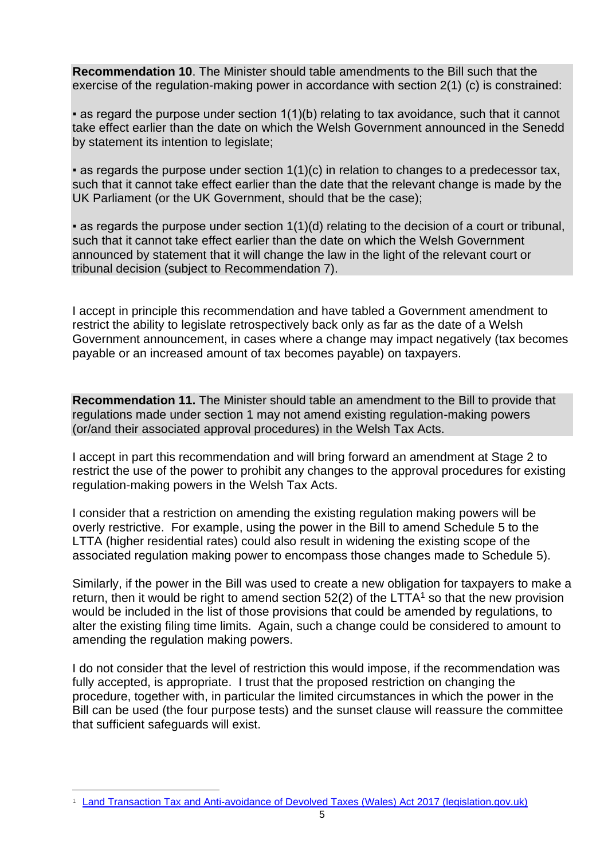**Recommendation 10**. The Minister should table amendments to the Bill such that the exercise of the regulation-making power in accordance with section 2(1) (c) is constrained:

 $\bullet$  as regard the purpose under section 1(1)(b) relating to tax avoidance, such that it cannot take effect earlier than the date on which the Welsh Government announced in the Senedd by statement its intention to legislate;

 $\bullet$  as regards the purpose under section  $1(1)(c)$  in relation to changes to a predecessor tax, such that it cannot take effect earlier than the date that the relevant change is made by the UK Parliament (or the UK Government, should that be the case);

▪ as regards the purpose under section 1(1)(d) relating to the decision of a court or tribunal, such that it cannot take effect earlier than the date on which the Welsh Government announced by statement that it will change the law in the light of the relevant court or tribunal decision (subject to Recommendation 7).

I accept in principle this recommendation and have tabled a Government amendment to restrict the ability to legislate retrospectively back only as far as the date of a Welsh Government announcement, in cases where a change may impact negatively (tax becomes payable or an increased amount of tax becomes payable) on taxpayers.

**Recommendation 11.** The Minister should table an amendment to the Bill to provide that regulations made under section 1 may not amend existing regulation-making powers (or/and their associated approval procedures) in the Welsh Tax Acts.

I accept in part this recommendation and will bring forward an amendment at Stage 2 to restrict the use of the power to prohibit any changes to the approval procedures for existing regulation-making powers in the Welsh Tax Acts.

I consider that a restriction on amending the existing regulation making powers will be overly restrictive. For example, using the power in the Bill to amend Schedule 5 to the LTTA (higher residential rates) could also result in widening the existing scope of the associated regulation making power to encompass those changes made to Schedule 5).

Similarly, if the power in the Bill was used to create a new obligation for taxpayers to make a return, then it would be right to amend section  $52(2)$  of the LTTA<sup>1</sup> so that the new provision would be included in the list of those provisions that could be amended by regulations, to alter the existing filing time limits. Again, such a change could be considered to amount to amending the regulation making powers.

I do not consider that the level of restriction this would impose, if the recommendation was fully accepted, is appropriate. I trust that the proposed restriction on changing the procedure, together with, in particular the limited circumstances in which the power in the Bill can be used (the four purpose tests) and the sunset clause will reassure the committee that sufficient safeguards will exist.

<sup>&</sup>lt;sup>1</sup> [Land Transaction Tax and Anti-avoidance of Devolved Taxes \(Wales\) Act 2017 \(legislation.gov.uk\)](https://www.legislation.gov.uk/anaw/2017/1/section/52)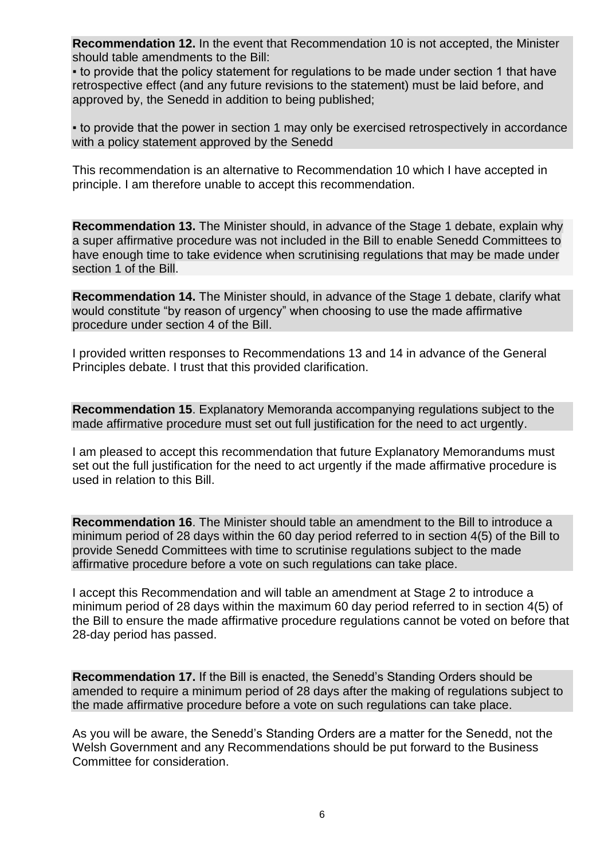**Recommendation 12.** In the event that Recommendation 10 is not accepted, the Minister should table amendments to the Bill:

• to provide that the policy statement for regulations to be made under section 1 that have retrospective effect (and any future revisions to the statement) must be laid before, and approved by, the Senedd in addition to being published;

• to provide that the power in section 1 may only be exercised retrospectively in accordance with a policy statement approved by the Senedd

This recommendation is an alternative to Recommendation 10 which I have accepted in principle. I am therefore unable to accept this recommendation.

**Recommendation 13.** The Minister should, in advance of the Stage 1 debate, explain why a super affirmative procedure was not included in the Bill to enable Senedd Committees to have enough time to take evidence when scrutinising regulations that may be made under section 1 of the Bill.

**Recommendation 14.** The Minister should, in advance of the Stage 1 debate, clarify what would constitute "by reason of urgency" when choosing to use the made affirmative procedure under section 4 of the Bill.

I provided written responses to Recommendations 13 and 14 in advance of the General Principles debate. I trust that this provided clarification.

**Recommendation 15**. Explanatory Memoranda accompanying regulations subject to the made affirmative procedure must set out full justification for the need to act urgently.

I am pleased to accept this recommendation that future Explanatory Memorandums must set out the full justification for the need to act urgently if the made affirmative procedure is used in relation to this Bill.

**Recommendation 16**. The Minister should table an amendment to the Bill to introduce a minimum period of 28 days within the 60 day period referred to in section 4(5) of the Bill to provide Senedd Committees with time to scrutinise regulations subject to the made affirmative procedure before a vote on such regulations can take place.

I accept this Recommendation and will table an amendment at Stage 2 to introduce a minimum period of 28 days within the maximum 60 day period referred to in section 4(5) of the Bill to ensure the made affirmative procedure regulations cannot be voted on before that 28-day period has passed.

**Recommendation 17.** If the Bill is enacted, the Senedd's Standing Orders should be amended to require a minimum period of 28 days after the making of regulations subject to the made affirmative procedure before a vote on such regulations can take place.

As you will be aware, the Senedd's Standing Orders are a matter for the Senedd, not the Welsh Government and any Recommendations should be put forward to the Business Committee for consideration.